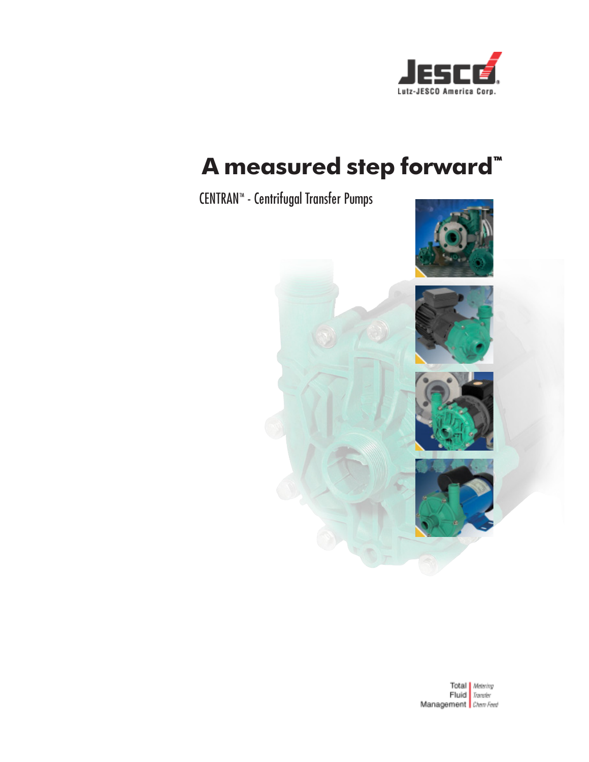

### A measured step forward"

### CENTRAN™ - Centrifugal Transfer Pumps





Total Metering<br>Fluid Transfer Management Chen Feed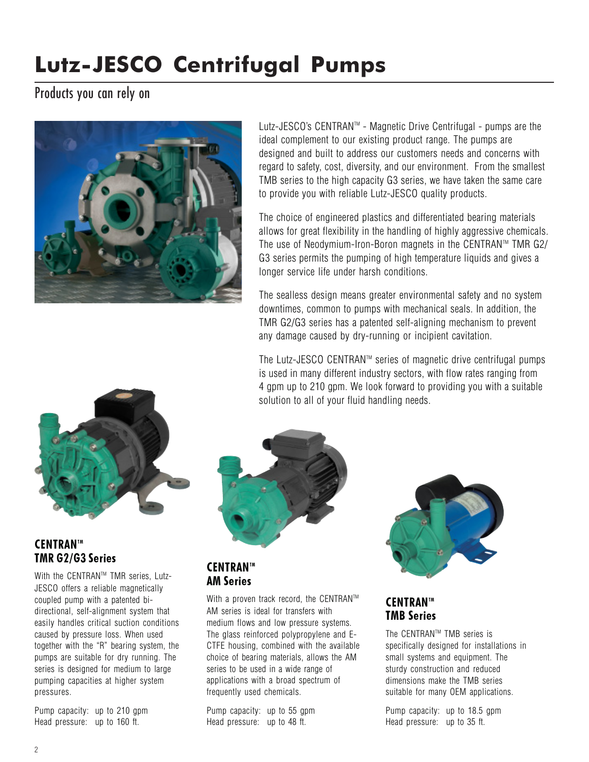### Products you can rely on



Lutz-JESCO's CENTRANTM - Magnetic Drive Centrifugal - pumps are the ideal complement to our existing product range. The pumps are designed and built to address our customers needs and concerns with regard to safety, cost, diversity, and our environment. From the smallest TMB series to the high capacity G3 series, we have taken the same care to provide you with reliable Lutz-JESCO quality products.

The choice of engineered plastics and differentiated bearing materials allows for great flexibility in the handling of highly aggressive chemicals. The use of Neodymium-Iron-Boron magnets in the CENTRAN™ TMR G2/ G3 series permits the pumping of high temperature liquids and gives a longer service life under harsh conditions.

The sealless design means greater environmental safety and no system downtimes, common to pumps with mechanical seals. In addition, the TMR G2/G3 series has a patented self-aligning mechanism to prevent any damage caused by dry-running or incipient cavitation.

The Lutz-JESCO CENTRAN<sup>™</sup> series of magnetic drive centrifugal pumps is used in many different industry sectors, with flow rates ranging from 4 gpm up to 210 gpm. We look forward to providing you with a suitable solution to all of your fluid handling needs.



### **CENTRAN™** TMR G2/G3 Series

With the CENTRAN™ TMR series, Lutz-JESCO offers a reliable magnetically coupled pump with a patented bidirectional, self-alignment system that easily handles critical suction conditions caused by pressure loss. When used together with the "R" bearing system, the pumps are suitable for dry running. The series is designed for medium to large pumping capacities at higher system pressures.

Pump capacity: up to 210 gpm Head pressure: up to 160 ft.



### CENTRAN™ AM Series

With a proven track record, the CENTRAN™ AM series is ideal for transfers with medium flows and low pressure systems. The glass reinforced polypropylene and E-CTFE housing, combined with the available choice of bearing materials, allows the AM series to be used in a wide range of applications with a broad spectrum of frequently used chemicals.

Pump capacity: up to 55 gpm Head pressure: up to 48 ft.



### CENTRAN™ TMB Series

The CENTRANTM TMB series is specifically designed for installations in small systems and equipment. The sturdy construction and reduced dimensions make the TMB series suitable for many OEM applications.

Pump capacity: up to 18.5 gpm Head pressure: up to 35 ft.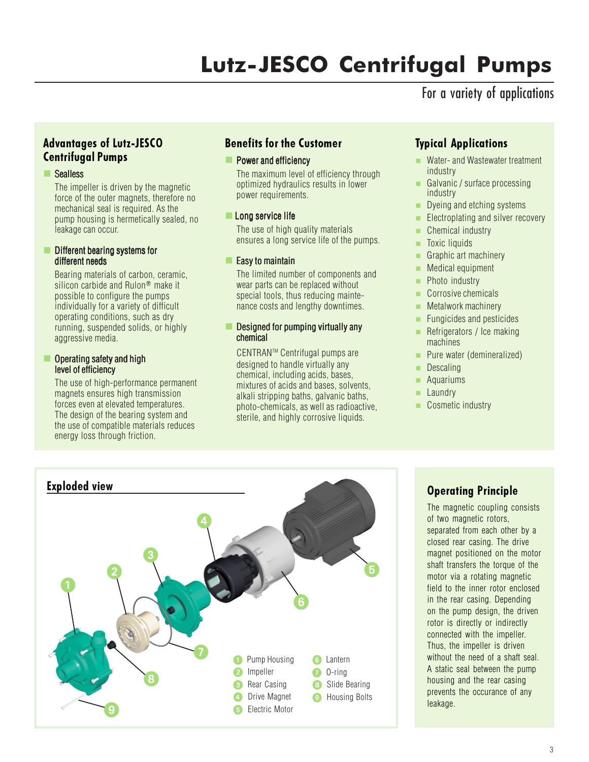### For a variety of applications

### Advantages of Lutz-JESCO Centrifugal Pumps

### Sealless

The impeller is driven by the magnetic force of the outer magnets, therefore no mechanical seal is required. As the pump housing is hermetically sealed, no leakage can occur.

#### $\blacksquare$  Different bearing systems for different needs

Bearing materials of carbon, ceramic, silicon carbide and Rulon<sup>®</sup> make it possible to configure the pumps individually for a variety of difficult operating conditions, such as dry running, suspended solids, or highly aggressive media.

#### Operating safety and high level of efficiency

The use of high-performance permanent magnets ensures high transmission forces even at elevated temperatures. The design of the bearing system and the use of compatible materials reduces energy loss through friction.

### Benefits for the Customer

#### **Power and efficiency**

The maximum level of efficiency through optimized hydraulics results in lower power requirements.

#### Long service life

The use of high quality materials ensures a long service life of the pumps.

### $\blacksquare$  Easy to maintain

The limited number of components and wear parts can be replaced without special tools, thus reducing maintenance costs and lengthy downtimes.

#### Designed for pumping virtually any chemical

CENTRANTM Centrifugal pumps are designed to handle virtually any chemical, including acids, bases, mixtures of acids and bases, solvents, alkali stripping baths, galvanic baths, photo-chemicals, as well as radioactive, sterile, and highly corrosive liquids.

### Typical Applications

- Water- and Wastewater treatment industry
- Galvanic / surface processing industry
- Dyeing and etching systems
- **Electroplating and silver recovery**
- Chemical industry
- **Toxic liquids**
- Graphic art machinery
- **Medical equipment**
- **Photo industry**
- Corrosive chemicals
- $\blacksquare$  Metalwork machinery
- **Fungicides and pesticides**
- Refrigerators / Ice making machines
- **Pure water (demineralized)**
- **Descaling**
- **Aquariums**
- Laundry
- Cosmetic industry



The magnetic coupling consists of two magnetic rotors, separated from each other by a closed rear casing. The drive magnet positioned on the motor shaft transfers the torque of the motor via a rotating magnetic field to the inner rotor enclosed in the rear casing. Depending on the pump design, the driven rotor is directly or indirectly connected with the impeller. Thus, the impeller is driven without the need of a shaft seal. A static seal between the pump housing and the rear casing prevents the occurance of any leakage.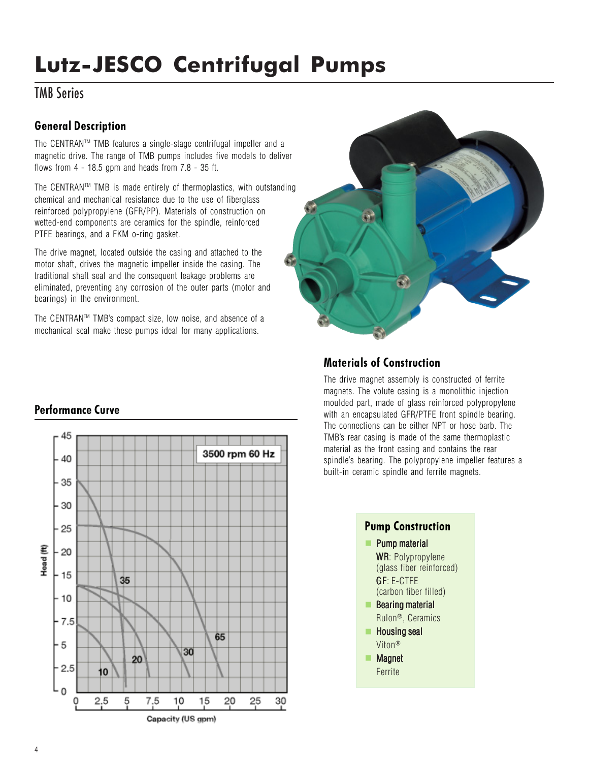### TMB Series

### General Description

The CENTRANTM TMB features a single-stage centrifugal impeller and a magnetic drive. The range of TMB pumps includes five models to deliver flows from  $4 - 18.5$  gpm and heads from  $7.8 - 35$  ft.

The CENTRANTM TMB is made entirely of thermoplastics, with outstanding chemical and mechanical resistance due to the use of fiberglass reinforced polypropylene (GFR/PP). Materials of construction on wetted-end components are ceramics for the spindle, reinforced PTFE bearings, and a FKM o-ring gasket.

The drive magnet, located outside the casing and attached to the motor shaft, drives the magnetic impeller inside the casing. The traditional shaft seal and the consequent leakage problems are eliminated, preventing any corrosion of the outer parts (motor and bearings) in the environment.

The CENTRANTM TMB's compact size, low noise, and absence of a mechanical seal make these pumps ideal for many applications.



### Materials of Construction

The drive magnet assembly is constructed of ferrite magnets. The volute casing is a monolithic injection moulded part, made of glass reinforced polypropylene with an encapsulated GFR/PTFE front spindle bearing. The connections can be either NPT or hose barb. The TMB's rear casing is made of the same thermoplastic material as the front casing and contains the rear spindle's bearing. The polypropylene impeller features a built-in ceramic spindle and ferrite magnets.



### Performance Curve

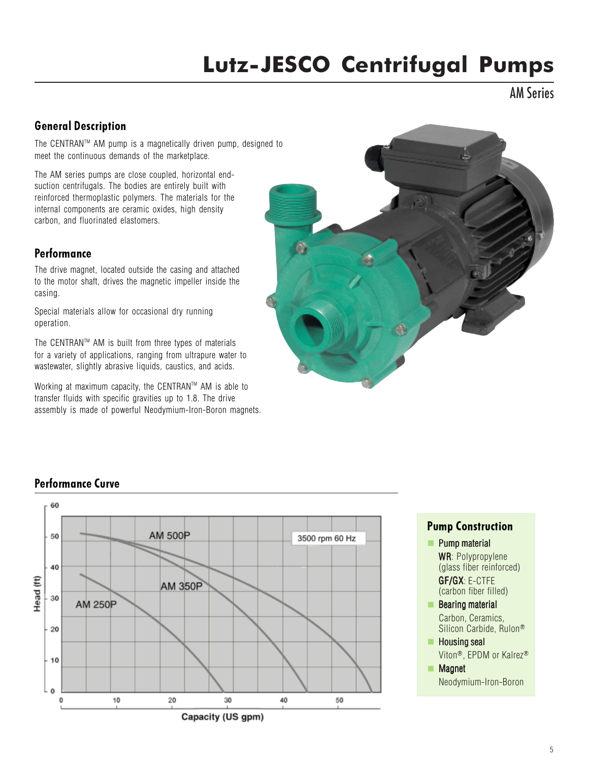AM Series

### General Description

The CENTRANTM AM pump is a magnetically driven pump, designed to meet the continuous demands of the marketplace.

The AM series pumps are close coupled, horizontal endsuction centrifugals. The bodies are entirely built with reinforced thermoplastic polymers. The materials for the internal components are ceramic oxides, high density carbon, and fluorinated elastomers.

### **Performance**

The drive magnet, located outside the casing and attached to the motor shaft, drives the magnetic impeller inside the casing.

Special materials allow for occasional dry running operation.

The CENTRANTM AM is built from three types of materials for a variety of applications, ranging from ultrapure water to wastewater, slightly abrasive liquids, caustics, and acids.

Working at maximum capacity, the CENTRAN™ AM is able to transfer fluids with specific gravities up to 1.8. The drive assembly is made of powerful Neodymium-Iron-Boron magnets.



### Performance Curve



Pump Construction **Pump material** WR: Polypropylene (glass fiber reinforced)

GF/GX:E-CTFE (carbon fiber filled)

- **Bearing material** Carbon, Ceramics, Silicon Carbide, Rulon®
- $\blacksquare$  Housing seal Viton®, EPDM or Kalrez®
- **Magnet** Neodymium-Iron-Boron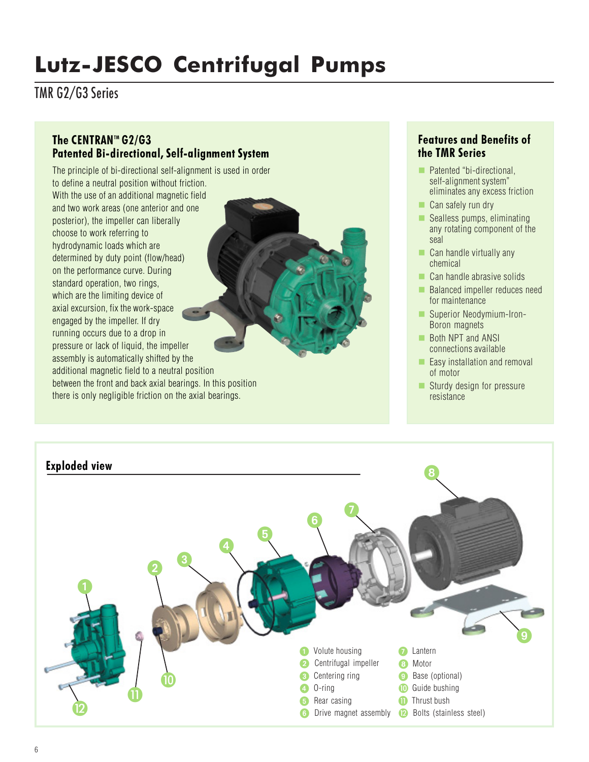TMR G2/G3 Series

### The CENTRAN<sup>™</sup> G2/G3 Patented Bi-directional, Self-alignment System

The principle of bi-directional self-alignment is used in order to define a neutral position without friction. With the use of an additional magnetic field and two work areas (one anterior and one posterior), the impeller can liberally choose to work referring to hydrodynamic loads which are determined by duty point (flow/head) on the performance curve. During standard operation, two rings, which are the limiting device of axial excursion, fix the work-space engaged by the impeller. If dry running occurs due to a drop in pressure or lack of liquid, the impeller assembly is automatically shifted by the additional magnetic field to a neutral position between the front and back axial bearings. In this position there is only negligible friction on the axial bearings.

### Features and Benefits of the TMR Series

- **Patented "bi-directional,** self-alignment system" eliminates any excess friction
- Can safely run dry
- $\blacksquare$  Sealless pumps, eliminating any rotating component of the seal
- $\Box$  Can handle virtually any chemical
- Can handle abrasive solids
- **Balanced impeller reduces need** for maintenance
- Superior Neodymium-Iron-Boron magnets
- Both NPT and ANSI connections available
- $\blacksquare$  Easy installation and removal of motor
- Sturdy design for pressure resistance

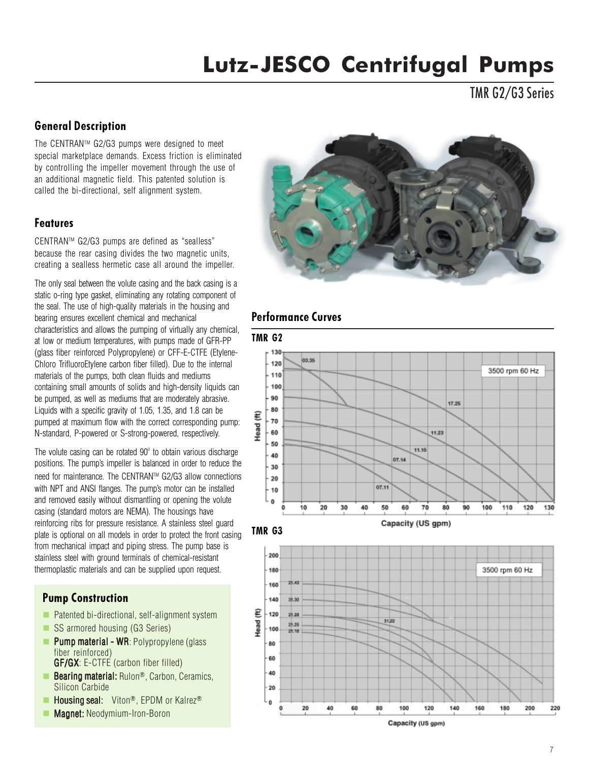TMR G2/G3 Series

### General Description

The CENTRANTM G2/G3 pumps were designed to meet special marketplace demands. Excess friction is eliminated by controlling the impeller movement through the use of an additional magnetic field. This patented solution is called the bi-directional, self alignment system.

### Features

CENTRANTM G2/G3 pumps are defined as "sealless" because the rear casing divides the two magnetic units, creating a sealless hermetic case all around the impeller.

The only seal between the volute casing and the back casing is a static o-ring type gasket, eliminating any rotating component of the seal. The use of high-quality materials in the housing and bearing ensures excellent chemical and mechanical characteristics and allows the pumping of virtually any chemical, at low or medium temperatures, with pumps made of GFR-PP (glass fiber reinforced Polypropylene) or CFF-E-CTFE (Etylene-Chloro TrifluoroEtylene carbon fiber filled). Due to the internal materials of the pumps, both clean fluids and mediums containing small amounts of solids and high-density liquids can be pumped, as well as mediums that are moderately abrasive. Liquids with a specific gravity of 1.05, 1.35, and 1.8 can be pumped at maximum flow with the correct corresponding pump: N-standard, P-powered or S-strong-powered, respectively.

The volute casing can be rotated  $90^\circ$  to obtain various discharge positions. The pump's impeller is balanced in order to reduce the need for maintenance. The CENTRAN™ G2/G3 allow connections with NPT and ANSI flanges. The pump's motor can be installed and removed easily without dismantling or opening the volute casing (standard motors are NEMA). The housings have reinforcing ribs for pressure resistance. A stainless steel guard plate is optional on all models in order to protect the front casing from mechanical impact and piping stress. The pump base is stainless steel with ground terminals of chemical-resistant thermoplastic materials and can be supplied upon request.

### Pump Construction

- $\blacksquare$  Patented bi-directional, self-alignment system
- SS armored housing (G3 Series)
- **Pump material WR: Polypropylene (glass)** fiber reinforced)
- GF/GX: E-CTFE (carbon fiber filled) **Bearing material:** Rulon<sup>®</sup>, Carbon, Ceramics,
- Silicon Carbide
- **Housing seal:** Viton<sup>®</sup>, EPDM or Kalrez<sup>®</sup>
- Magnet: Neodymium-Iron-Boron



### Performance Curves







Capacity (US gpm)